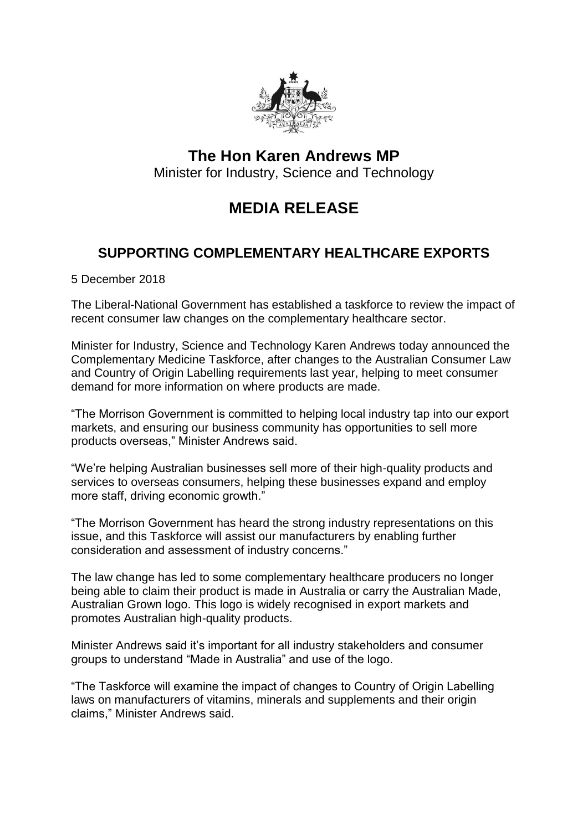

## **The Hon Karen Andrews MP** Minister for Industry, Science and Technology

## **MEDIA RELEASE**

## **SUPPORTING COMPLEMENTARY HEALTHCARE EXPORTS**

5 December 2018

The Liberal-National Government has established a taskforce to review the impact of recent consumer law changes on the complementary healthcare sector.

Minister for Industry, Science and Technology Karen Andrews today announced the Complementary Medicine Taskforce, after changes to the Australian Consumer Law and Country of Origin Labelling requirements last year, helping to meet consumer demand for more information on where products are made.

"The Morrison Government is committed to helping local industry tap into our export markets, and ensuring our business community has opportunities to sell more products overseas," Minister Andrews said.

"We're helping Australian businesses sell more of their high-quality products and services to overseas consumers, helping these businesses expand and employ more staff, driving economic growth."

"The Morrison Government has heard the strong industry representations on this issue, and this Taskforce will assist our manufacturers by enabling further consideration and assessment of industry concerns."

The law change has led to some complementary healthcare producers no longer being able to claim their product is made in Australia or carry the Australian Made, Australian Grown logo. This logo is widely recognised in export markets and promotes Australian high-quality products.

Minister Andrews said it's important for all industry stakeholders and consumer groups to understand "Made in Australia" and use of the logo.

"The Taskforce will examine the impact of changes to Country of Origin Labelling laws on manufacturers of vitamins, minerals and supplements and their origin claims," Minister Andrews said.